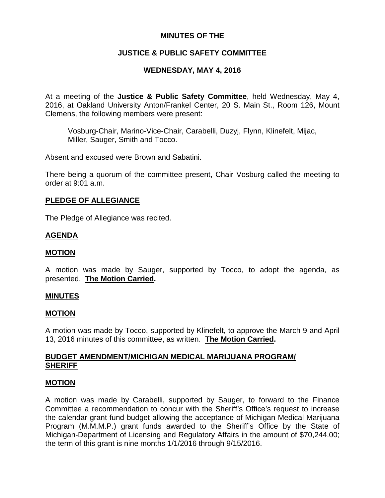# **MINUTES OF THE**

# **JUSTICE & PUBLIC SAFETY COMMITTEE**

# **WEDNESDAY, MAY 4, 2016**

At a meeting of the **Justice & Public Safety Committee**, held Wednesday, May 4, 2016, at Oakland University Anton/Frankel Center, 20 S. Main St., Room 126, Mount Clemens, the following members were present:

Vosburg-Chair, Marino-Vice-Chair, Carabelli, Duzyj, Flynn, Klinefelt, Mijac, Miller, Sauger, Smith and Tocco.

Absent and excused were Brown and Sabatini.

There being a quorum of the committee present, Chair Vosburg called the meeting to order at 9:01 a.m.

### **PLEDGE OF ALLEGIANCE**

The Pledge of Allegiance was recited.

### **AGENDA**

### **MOTION**

A motion was made by Sauger, supported by Tocco, to adopt the agenda, as presented. **The Motion Carried.**

### **MINUTES**

#### **MOTION**

A motion was made by Tocco, supported by Klinefelt, to approve the March 9 and April 13, 2016 minutes of this committee, as written. **The Motion Carried.**

### **BUDGET AMENDMENT/MICHIGAN MEDICAL MARIJUANA PROGRAM/ SHERIFF**

### **MOTION**

A motion was made by Carabelli, supported by Sauger, to forward to the Finance Committee a recommendation to concur with the Sheriff's Office's request to increase the calendar grant fund budget allowing the acceptance of Michigan Medical Marijuana Program (M.M.M.P.) grant funds awarded to the Sheriff's Office by the State of Michigan-Department of Licensing and Regulatory Affairs in the amount of \$70,244.00; the term of this grant is nine months 1/1/2016 through 9/15/2016.